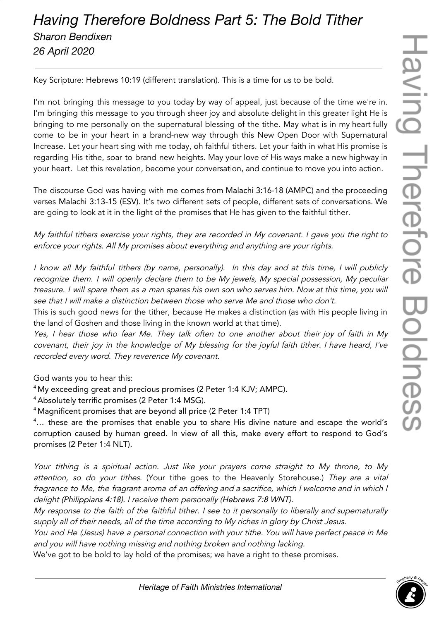## *Having Therefore Boldness Part 5: The Bold Tither Sharon Bendixen 26 April 2020*

Key Scripture: Hebrews 10:19 (different translation). This is a time for us to be bold.

I'm not bringing this message to you today by way of appeal, just because of the time we're in. I'm bringing this message to you through sheer joy and absolute delight in this greater light He is bringing to me personally on the supernatural blessing of the tithe. May what is in my heart fully come to be in your heart in a brand-new way through this New Open Door with Supernatural Increase. Let your heart sing with me today, oh faithful tithers. Let your faith in what His promise is regarding His tithe, soar to brand new heights. May your love of His ways make a new highway in your heart. Let this revelation, become your conversation, and continue to move you into action.

The discourse God was having with me comes from Malachi 3:16-18 (AMPC) and the proceeding verses Malachi 3:13-15 (ESV). It's two different sets of people, different sets of conversations. We are going to look at it in the light of the promises that He has given to the faithful tither.

My faithful tithers exercise your rights, they are recorded in My covenant. I gave you the right to enforce your rights. All My promises about everything and anything are your rights.

<sup>I</sup> know all My faithful tithers (by name, personally). In this day and at this time, <sup>I</sup> will publicly recognize them. <sup>I</sup> will openly declare them to be My jewels, My special possession, My peculiar treasure. <sup>I</sup> will spare them as <sup>a</sup> man spares his own son who serves him. Now at this time, you will see that I will make <sup>a</sup> distinction between those who serve Me and those who don't.

This is such good news for the tither, because He makes a distinction (as with His people living in the land of Goshen and those living in the known world at that time).

Yes, I hear those who fear Me. They talk often to one another about their joy of faith in My covenant, their joy in the knowledge of My blessing for the joyful faith tither. I have heard, I've recorded every word. They reverence My covenant.

God wants you to hear this:

<sup>4</sup> My exceeding great and precious promises (2 Peter 1:4 KJV; AMPC).

<sup>4</sup> Absolutely terrific promises (2 Peter 1:4 MSG).

<sup>4</sup> Magnificent promises that are beyond all price (2 Peter 1:4 TPT)

<sup>4</sup>... these are the promises that enable you to share His divine nature and escape the world's corruption caused by human greed. In view of all this, make every effort to respond to God's promises (2 Peter 1:4 NLT).

Your tithing is <sup>a</sup> spiritual action. Just like your prayers come straight to My throne, to My attention, so do your tithes. (Your tithe goes to the Heavenly Storehouse.) They are a vital fragrance to Me, the fragrant aroma of an offering and <sup>a</sup> sacrifice, which I welcome and in which I delight (Philippians 4:18). <sup>I</sup> receive them personally (Hebrews 7:8 WNT).

My response to the faith of the faithful tither. <sup>I</sup> see to it personally to liberally and supernaturally supply all of their needs, all of the time according to My riches in <sup>g</sup>lory by Christ Jesus.

You and He (Jesus) have <sup>a</sup> personal connection with your tithe. You will have perfect peace in Me and you will have nothing missing and nothing broken and nothing lacking.

We've got to be bold to lay hold of the promises; we have a right to these promises.